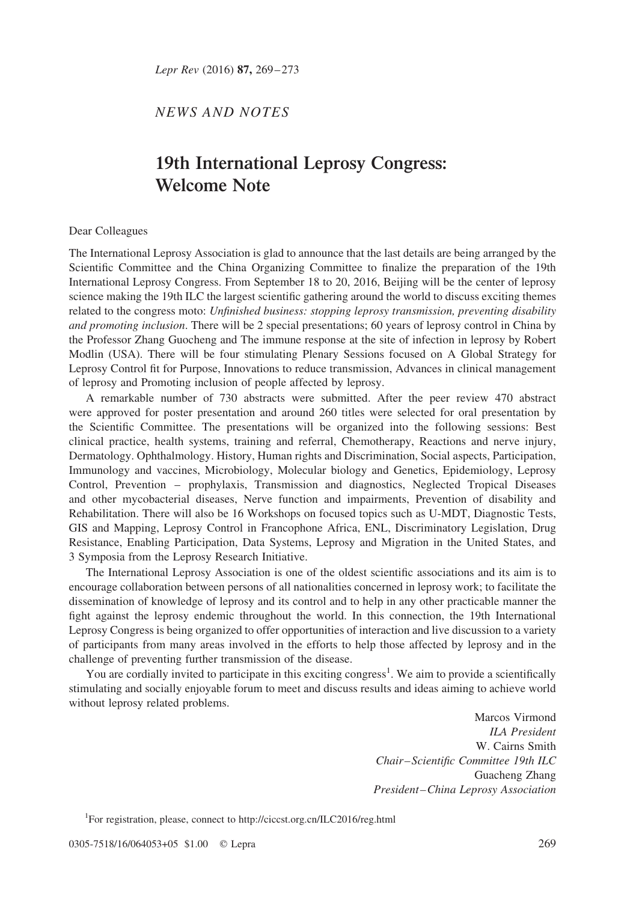Lepr Rev (2016) 87, 269-273

NEWS AND NOTES

# 19th International Leprosy Congress: Welcome Note

#### Dear Colleagues

The International Leprosy Association is glad to announce that the last details are being arranged by the Scientific Committee and the China Organizing Committee to finalize the preparation of the 19th International Leprosy Congress. From September 18 to 20, 2016, Beijing will be the center of leprosy science making the 19th ILC the largest scientific gathering around the world to discuss exciting themes related to the congress moto: Unfinished business: stopping leprosy transmission, preventing disability and promoting inclusion. There will be 2 special presentations; 60 years of leprosy control in China by the Professor Zhang Guocheng and The immune response at the site of infection in leprosy by Robert Modlin (USA). There will be four stimulating Plenary Sessions focused on A Global Strategy for Leprosy Control fit for Purpose, Innovations to reduce transmission, Advances in clinical management of leprosy and Promoting inclusion of people affected by leprosy.

A remarkable number of 730 abstracts were submitted. After the peer review 470 abstract were approved for poster presentation and around 260 titles were selected for oral presentation by the Scientific Committee. The presentations will be organized into the following sessions: Best clinical practice, health systems, training and referral, Chemotherapy, Reactions and nerve injury, Dermatology. Ophthalmology. History, Human rights and Discrimination, Social aspects, Participation, Immunology and vaccines, Microbiology, Molecular biology and Genetics, Epidemiology, Leprosy Control, Prevention – prophylaxis, Transmission and diagnostics, Neglected Tropical Diseases and other mycobacterial diseases, Nerve function and impairments, Prevention of disability and Rehabilitation. There will also be 16 Workshops on focused topics such as U-MDT, Diagnostic Tests, GIS and Mapping, Leprosy Control in Francophone Africa, ENL, Discriminatory Legislation, Drug Resistance, Enabling Participation, Data Systems, Leprosy and Migration in the United States, and 3 Symposia from the Leprosy Research Initiative.

The International Leprosy Association is one of the oldest scientific associations and its aim is to encourage collaboration between persons of all nationalities concerned in leprosy work; to facilitate the dissemination of knowledge of leprosy and its control and to help in any other practicable manner the fight against the leprosy endemic throughout the world. In this connection, the 19th International Leprosy Congress is being organized to offer opportunities of interaction and live discussion to a variety of participants from many areas involved in the efforts to help those affected by leprosy and in the challenge of preventing further transmission of the disease.

You are cordially invited to participate in this exciting congress<sup>1</sup>. We aim to provide a scientifically stimulating and socially enjoyable forum to meet and discuss results and ideas aiming to achieve world without leprosy related problems.

> Marcos Virmond ILA President W. Cairns Smith Chair – Scientific Committee 19th ILC Guacheng Zhang President –China Leprosy Association

<sup>1</sup>For registration, please, connect to<http://ciccst.org.cn/ILC2016/reg.html>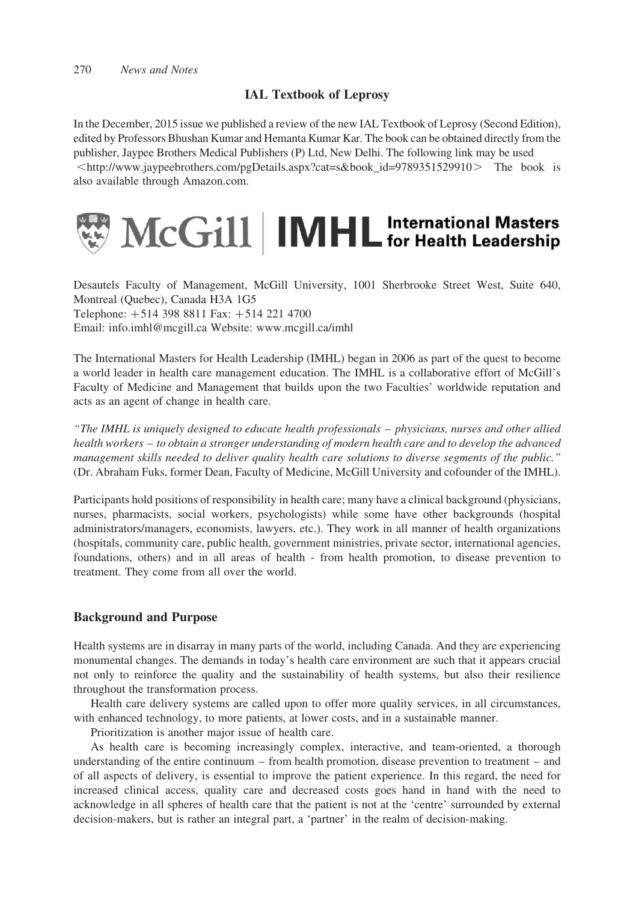# IAL Textbook of Leprosy

In the December, 2015 issue we published a review of the new IAL Textbook of Leprosy (Second Edition), edited by Professors Bhushan Kumar and Hemanta Kumar Kar. The book can be obtained directly from the publisher, Jaypee Brothers Medical Publishers (P) Ltd, New Delhi. The following link may be used  $\leq$ [http://www.jaypeebrothers.com/pgDetails.aspx?cat=s&book\\_id=9789351529910](http://www.jaypeebrothers.com/pgDetails.aspx?cat = s&book_id = 9789351529910) $>$ The book is also available through [Amazon.com](http://Amazon.com).



Desautels Faculty of Management, McGill University, 1001 Sherbrooke Street West, Suite 640, Montreal (Quebec), Canada H3A 1G5 Telephone:  $+514$  398 8811 Fax:  $+514$  221 4700 Email: info.imhl@mcgill.ca Website: [www.mcgill.ca/imhl](http://www.mcgill.ca/imhl)

The International Masters for Health Leadership (IMHL) began in 2006 as part of the quest to become a world leader in health care management education. The IMHL is a collaborative effort of McGill's Faculty of Medicine and Management that builds upon the two Faculties' worldwide reputation and acts as an agent of change in health care.

"The IMHL is uniquely designed to educate health professionals – physicians, nurses and other allied health workers – to obtain a stronger understanding of modern health care and to develop the advanced management skills needed to deliver quality health care solutions to diverse segments of the public." (Dr. Abraham Fuks, former Dean, Faculty of Medicine, McGill University and cofounder of the IMHL).

Participants hold positions of responsibility in health care; many have a clinical background (physicians, nurses, pharmacists, social workers, psychologists) while some have other backgrounds (hospital administrators/managers, economists, lawyers, etc.). They work in all manner of health organizations (hospitals, community care, public health, government ministries, private sector, international agencies, foundations, others) and in all areas of health - from health promotion, to disease prevention to treatment. They come from all over the world.

# Background and Purpose

Health systems are in disarray in many parts of the world, including Canada. And they are experiencing monumental changes. The demands in today's health care environment are such that it appears crucial not only to reinforce the quality and the sustainability of health systems, but also their resilience throughout the transformation process.

Health care delivery systems are called upon to offer more quality services, in all circumstances, with enhanced technology, to more patients, at lower costs, and in a sustainable manner.

Prioritization is another major issue of health care.

As health care is becoming increasingly complex, interactive, and team-oriented, a thorough understanding of the entire continuum – from health promotion, disease prevention to treatment – and of all aspects of delivery, is essential to improve the patient experience. In this regard, the need for increased clinical access, quality care and decreased costs goes hand in hand with the need to acknowledge in all spheres of health care that the patient is not at the 'centre' surrounded by external decision-makers, but is rather an integral part, a 'partner' in the realm of decision-making.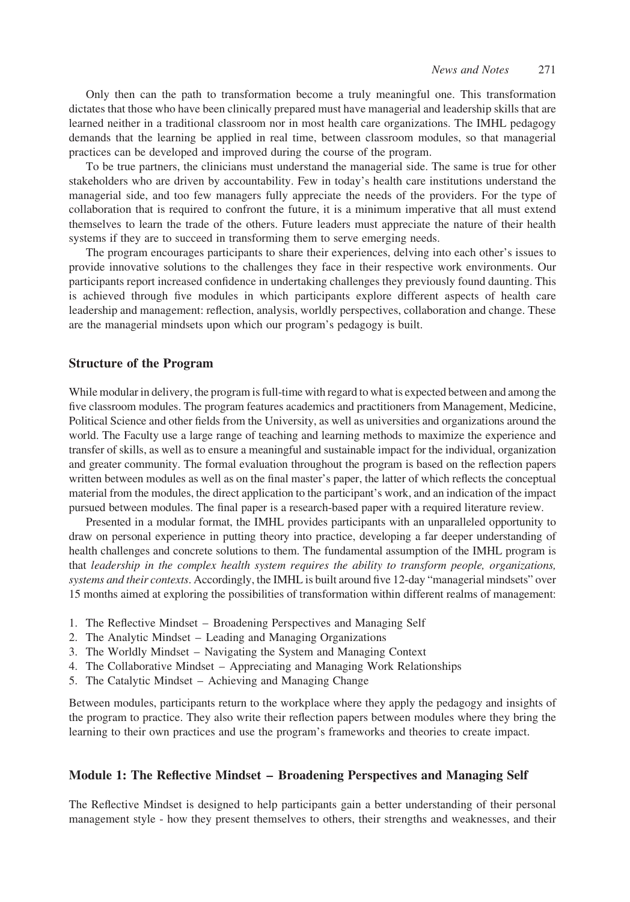Only then can the path to transformation become a truly meaningful one. This transformation dictates that those who have been clinically prepared must have managerial and leadership skills that are learned neither in a traditional classroom nor in most health care organizations. The IMHL pedagogy demands that the learning be applied in real time, between classroom modules, so that managerial practices can be developed and improved during the course of the program.

To be true partners, the clinicians must understand the managerial side. The same is true for other stakeholders who are driven by accountability. Few in today's health care institutions understand the managerial side, and too few managers fully appreciate the needs of the providers. For the type of collaboration that is required to confront the future, it is a minimum imperative that all must extend themselves to learn the trade of the others. Future leaders must appreciate the nature of their health systems if they are to succeed in transforming them to serve emerging needs.

The program encourages participants to share their experiences, delving into each other's issues to provide innovative solutions to the challenges they face in their respective work environments. Our participants report increased confidence in undertaking challenges they previously found daunting. This is achieved through five modules in which participants explore different aspects of health care leadership and management: reflection, analysis, worldly perspectives, collaboration and change. These are the managerial mindsets upon which our program's pedagogy is built.

#### Structure of the Program

While modular in delivery, the program is full-time with regard to what is expected between and among the five classroom modules. The program features academics and practitioners from Management, Medicine, Political Science and other fields from the University, as well as universities and organizations around the world. The Faculty use a large range of teaching and learning methods to maximize the experience and transfer of skills, as well as to ensure a meaningful and sustainable impact for the individual, organization and greater community. The formal evaluation throughout the program is based on the reflection papers written between modules as well as on the final master's paper, the latter of which reflects the conceptual material from the modules, the direct application to the participant's work, and an indication of the impact pursued between modules. The final paper is a research-based paper with a required literature review.

Presented in a modular format, the IMHL provides participants with an unparalleled opportunity to draw on personal experience in putting theory into practice, developing a far deeper understanding of health challenges and concrete solutions to them. The fundamental assumption of the IMHL program is that leadership in the complex health system requires the ability to transform people, organizations, systems and their contexts. Accordingly, the IMHL is built around five 12-day "managerial mindsets" over 15 months aimed at exploring the possibilities of transformation within different realms of management:

- 1. The Reflective Mindset Broadening Perspectives and Managing Self
- 2. The Analytic Mindset Leading and Managing Organizations
- 3. The Worldly Mindset Navigating the System and Managing Context
- 4. The Collaborative Mindset Appreciating and Managing Work Relationships
- 5. The Catalytic Mindset Achieving and Managing Change

Between modules, participants return to the workplace where they apply the pedagogy and insights of the program to practice. They also write their reflection papers between modules where they bring the learning to their own practices and use the program's frameworks and theories to create impact.

#### Module 1: The Reflective Mindset – Broadening Perspectives and Managing Self

The Reflective Mindset is designed to help participants gain a better understanding of their personal management style - how they present themselves to others, their strengths and weaknesses, and their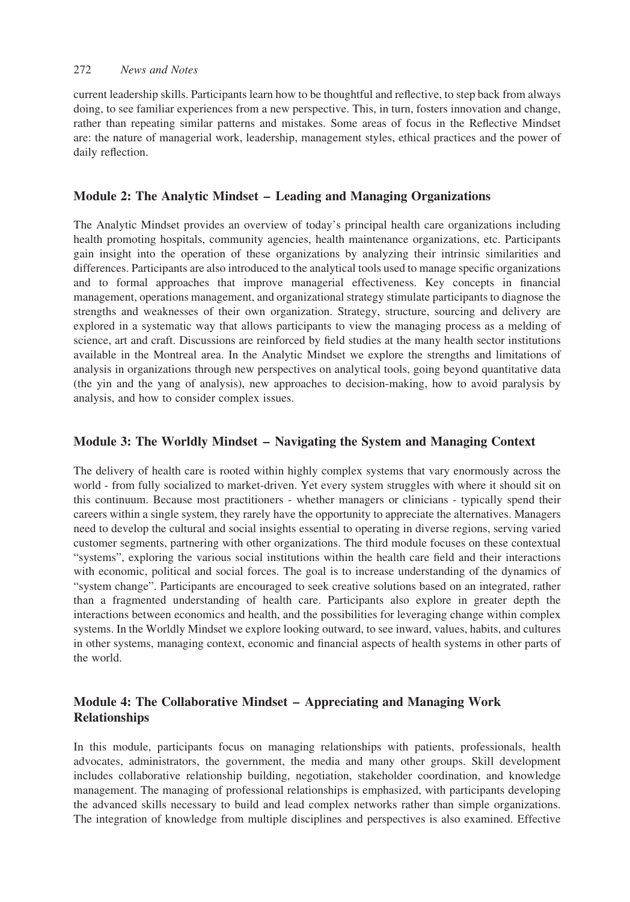#### 272 News and Notes

current leadership skills. Participants learn how to be thoughtful and reflective, to step back from always doing, to see familiar experiences from a new perspective. This, in turn, fosters innovation and change, rather than repeating similar patterns and mistakes. Some areas of focus in the Reflective Mindset are: the nature of managerial work, leadership, management styles, ethical practices and the power of daily reflection.

# Module 2: The Analytic Mindset – Leading and Managing Organizations

The Analytic Mindset provides an overview of today's principal health care organizations including health promoting hospitals, community agencies, health maintenance organizations, etc. Participants gain insight into the operation of these organizations by analyzing their intrinsic similarities and differences. Participants are also introduced to the analytical tools used to manage specific organizations and to formal approaches that improve managerial effectiveness. Key concepts in financial management, operations management, and organizational strategy stimulate participants to diagnose the strengths and weaknesses of their own organization. Strategy, structure, sourcing and delivery are explored in a systematic way that allows participants to view the managing process as a melding of science, art and craft. Discussions are reinforced by field studies at the many health sector institutions available in the Montreal area. In the Analytic Mindset we explore the strengths and limitations of analysis in organizations through new perspectives on analytical tools, going beyond quantitative data (the yin and the yang of analysis), new approaches to decision-making, how to avoid paralysis by analysis, and how to consider complex issues.

### Module 3: The Worldly Mindset – Navigating the System and Managing Context

The delivery of health care is rooted within highly complex systems that vary enormously across the world - from fully socialized to market-driven. Yet every system struggles with where it should sit on this continuum. Because most practitioners - whether managers or clinicians - typically spend their careers within a single system, they rarely have the opportunity to appreciate the alternatives. Managers need to develop the cultural and social insights essential to operating in diverse regions, serving varied customer segments, partnering with other organizations. The third module focuses on these contextual "systems", exploring the various social institutions within the health care field and their interactions with economic, political and social forces. The goal is to increase understanding of the dynamics of "system change". Participants are encouraged to seek creative solutions based on an integrated, rather than a fragmented understanding of health care. Participants also explore in greater depth the interactions between economics and health, and the possibilities for leveraging change within complex systems. In the Worldly Mindset we explore looking outward, to see inward, values, habits, and cultures in other systems, managing context, economic and financial aspects of health systems in other parts of the world.

# Module 4: The Collaborative Mindset – Appreciating and Managing Work Relationships

In this module, participants focus on managing relationships with patients, professionals, health advocates, administrators, the government, the media and many other groups. Skill development includes collaborative relationship building, negotiation, stakeholder coordination, and knowledge management. The managing of professional relationships is emphasized, with participants developing the advanced skills necessary to build and lead complex networks rather than simple organizations. The integration of knowledge from multiple disciplines and perspectives is also examined. Effective